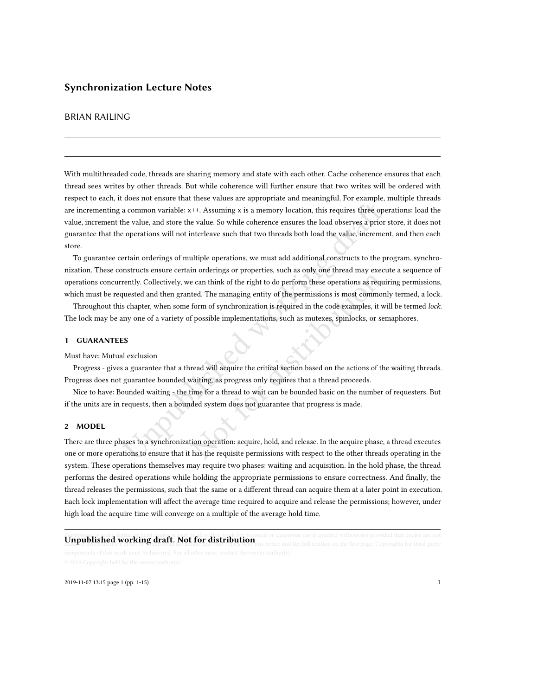# BRIAN RAILING

a common variable: x++. Assuming x is a memory location, this requires three operations will not interleave such that two threads both load the value, incrementain orderings of multiple operations, we must add additional c With multithreaded code, threads are sharing memory and state with each other. Cache coherence ensures that each thread sees writes by other threads. But while coherence will further ensure that two writes will be ordered with respect to each, it does not ensure that these values are appropriate and meaningful. For example, multiple threads are incrementing a common variable: x++. Assuming x is a memory location, this requires three operations: load the value, increment the value, and store the value. So while coherence ensures the load observes a prior store, it does not guarantee that the operations will not interleave such that two threads both load the value, increment, and then each store.

not can think of the right to do perform these operations as required. The managing entity of the permissions is most commonl<br>form of synchronization is required in the code examples, it wis<br>f possible implementations, suc To guarantee certain orderings of multiple operations, we must add additional constructs to the program, synchronization. These constructs ensure certain orderings or properties, such as only one thread may execute a sequence of operations concurrently. Collectively, we can think of the right to do perform these operations as requiring permissions, which must be requested and then granted. The managing entity of the permissions is most commonly termed, a lock.

Throughout this chapter, when some form of synchronization is required in the code examples, it will be termed lock. The lock may be any one of a variety of possible implementations, such as mutexes, spinlocks, or semaphores.

## 1 GUARANTEES

Must have: Mutual exclusion

Progress - gives a guarantee that a thread will acquire the critical section based on the actions of the waiting threads. Progress does not guarantee bounded waiting, as progress only requires that a thread proceeds.

Nice to have: Bounded waiting - the time for a thread to wait can be bounded basic on the number of requesters. But if the units are in requests, then a bounded system does not guarantee that progress is made.

## 2 MODEL

There are three phases to a synchronization operation: acquire, hold, and release. In the acquire phase, a thread executes one or more operations to ensure that it has the requisite permissions with respect to the other threads operating in the system. These operations themselves may require two phases: waiting and acquisition. In the hold phase, the thread performs the desired operations while holding the appropriate permissions to ensure correctness. And finally, the thread releases the permissions, such that the same or a different thread can acquire them at a later point in execution. Each lock implementation will affect the average time required to acquire and release the permissions; however, under high load the acquire time will converge on a multiple of the average hold time.

# **Unpublished working draft. Not for distribution** or classroom use is granted without fee provided that copies are not<br>**Unpublished working draft. Not for distribution** this notice and the full citation on the first page.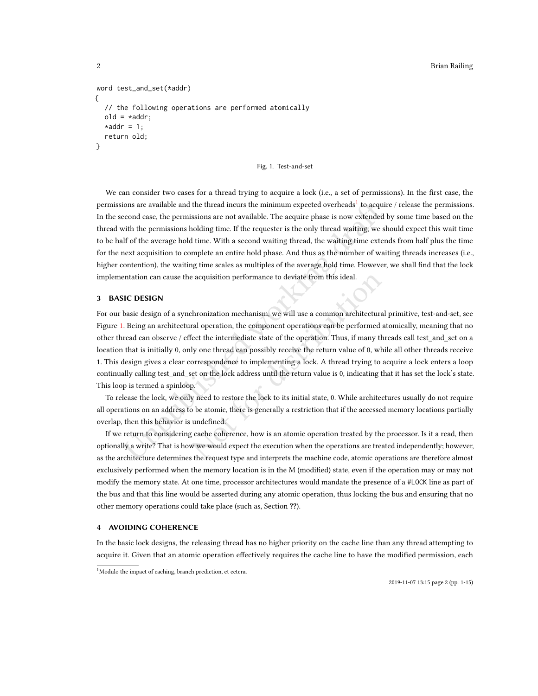```
word test_and_set(*addr)
{
  // the following operations are performed atomically
  old = *addr;*addr = 1;return old;
}
```
#### Fig. 1. Test-and-set

We can consider two cases for a thread trying to acquire a lock (i.e., a set of permissions). In the first case, the permissions are available and the thread incurs the minimum expected overheads $^1$  to acquire / release the permissions. In the second case, the permissions are not available. The acquire phase is now extended by some time based on the thread with the permissions holding time. If the requester is the only thread waiting, we should expect this wait time to be half of the average hold time. With a second waiting thread, the waiting time extends from half plus the time for the next acquisition to complete an entire hold phase. And thus as the number of waiting threads increases (i.e., higher contention), the waiting time scales as multiples of the average hold time. However, we shall find that the lock implementation can cause the acquisition performance to deviate from this ideal.

# 3 BASIC DESIGN

ions are available and the thread incurs the minimum expected overheads<sup>1</sup> to acqui<br>coond case, the permissions are not available. The acquire phase is now extended<br>with the permissions holding time I[f](#page-1-0) the requester is the e acquisition performance to deviate from this ideal.<br>
chronization mechanism, we will use a common architectural<br>
ral operation, the component operations can be performed at<br>
fect the intermediate state of the operation. For our basic design of a synchronization mechanism, we will use a common architectural primitive, test-and-set, see Figure [1.](#page-1-1) Being an architectural operation, the component operations can be performed atomically, meaning that no other thread can observe / effect the intermediate state of the operation. Thus, if many threads call test\_and\_set on a location that is initially 0, only one thread can possibly receive the return value of 0, while all other threads receive 1. This design gives a clear correspondence to implementing a lock. A thread trying to acquire a lock enters a loop continually calling test\_and\_set on the lock address until the return value is 0, indicating that it has set the lock's state. This loop is termed a spinloop.

To release the lock, we only need to restore the lock to its initial state, 0. While architectures usually do not require all operations on an address to be atomic, there is generally a restriction that if the accessed memory locations partially overlap, then this behavior is undefined.

If we return to considering cache coherence, how is an atomic operation treated by the processor. Is it a read, then optionally a write? That is how we would expect the execution when the operations are treated independently; however, as the architecture determines the request type and interprets the machine code, atomic operations are therefore almost exclusively performed when the memory location is in the M (modified) state, even if the operation may or may not modify the memory state. At one time, processor architectures would mandate the presence of a #LOCK line as part of the bus and that this line would be asserted during any atomic operation, thus locking the bus and ensuring that no other memory operations could take place (such as, Section ??).

# 4 AVOIDING COHERENCE

In the basic lock designs, the releasing thread has no higher priority on the cache line than any thread attempting to acquire it. Given that an atomic operation effectively requires the cache line to have the modified permission, each

<span id="page-1-0"></span><sup>&</sup>lt;sup>1</sup>Modulo the impact of caching, branch prediction, et cetera.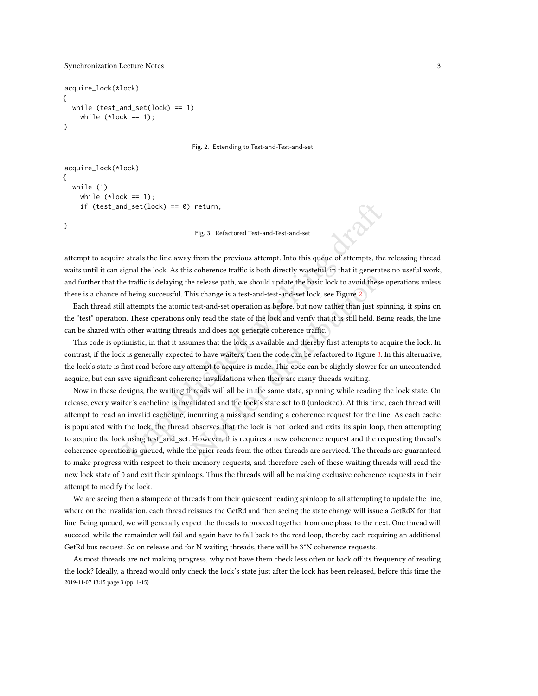}

```
acquire_lock(*lock)
{
  while (test_and_set(lock) == 1)
    while (*lock == 1);}
```
Fig. 2. Extending to Test-and-Test-and-set

```
acquire_lock(*lock)
{
  while (1)
    while (*lock == 1);
    if (test_and_set(lock) == 0) return;
```
Fig. 3. Refactored Test-and-Test-and-set

attempt to acquire steals the line away from the previous attempt. Into this queue of attempts, the releasing thread waits until it can signal the lock. As this coherence traffic is both directly wasteful, in that it generates no useful work, and further that the traffic is delaying the release path, we should update the basic lock to avoid these operations unless there is a chance of being successful. This change is a test-and-test-and-set lock, see Figure 2.

Each thread still attempts the atomic test-and-set operation as before, but now rather than just spinning, it spins on the "test" operation. These operations only read the state of the lock and verify that it is still held. Being reads, the line can be shared with other waiting threads and does not generate coherence traffic.

This code is optimistic, in that it assumes that the lock is available and thereby first attempts to acquire the lock. In contrast, if the lock is generally expected to have waiters, then the code can be refactored to Figure 3. In this alternative, the lock's state is first read before any attempt to acquire is made. This code can be slightly slower for an uncontended acquire, but can save significant coherence invalidations when there are many threads waiting.

In the set (lock) == 0) return;<br>
Fig. 3. Refactored Test-and-Test-and-set<br>
esteals the line away from the previous attempt. Into this queue of attempts, the<br>
ignal the lock. As this coherence traffic is both directly wast From the seale pairs and the basic lock is a pair of galaxies and the release path, we should update the basic lock to avoid these chis change is a test-and-test-and-set lock, see Figure 2. test-and-set operat[ion](#page-2-0) as before Now in these designs, the waiting threads will all be in the same state, spinning while reading the lock state. On release, every waiter's cacheline is invalidated and the lock's state set to 0 (unlocked). At this time, each thread will attempt to read an invalid cacheline, incurring a miss and sending a coherence request for the line. As each cache is populated with the lock, the thread observes that the lock is not locked and exits its spin loop, then attempting to acquire the lock using test\_and\_set. However, this requires a new coherence request and the requesting thread's coherence operation is queued, while the prior reads from the other threads are serviced. The threads are guaranteed to make progress with respect to their memory requests, and therefore each of these waiting threads will read the new lock state of 0 and exit their spinloops. Thus the threads will all be making exclusive coherence requests in their attempt to modify the lock.

We are seeing then a stampede of threads from their quiescent reading spinloop to all attempting to update the line, where on the invalidation, each thread reissues the GetRd and then seeing the state change will issue a GetRdX for that line. Being queued, we will generally expect the threads to proceed together from one phase to the next. One thread will succeed, while the remainder will fail and again have to fall back to the read loop, thereby each requiring an additional GetRd bus request. So on release and for N waiting threads, there will be 3\*N coherence requests.

As most threads are not making progress, why not have them check less often or back off its frequency of reading the lock? Ideally, a thread would only check the lock's state just after the lock has been released, before this time the 2019-11-07 13:15 page 3 (pp. 1-15)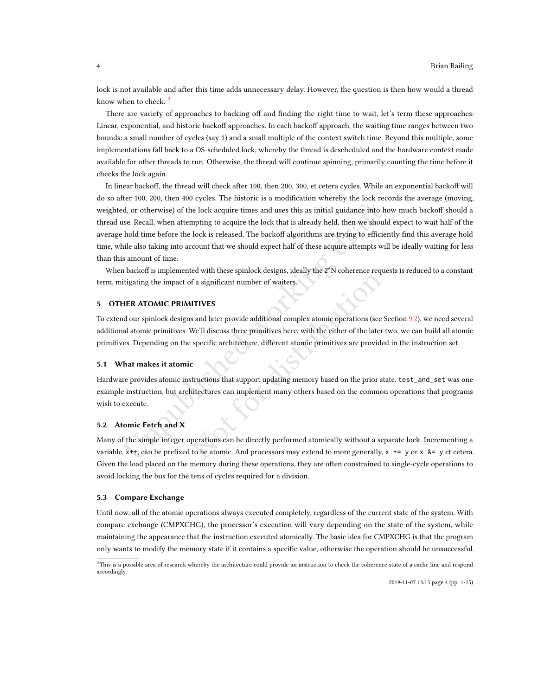lock is not available and after this time adds unnecessary delay. However, the question is then how would a thread know when to check.<sup>[2](#page-3-0)</sup>

There are variety of approaches to backing off and finding the right time to wait, let's term these approaches: Linear, exponential, and historic backoff approaches. In each backoff approach, the waiting time ranges between two bounds: a small number of cycles (say 1) and a small multiple of the context switch time. Beyond this multiple, some implementations fall back to a OS-scheduled lock, whereby the thread is descheduled and the hardware context made available for other threads to run. Otherwise, the thread will continue spinning, primarily counting the time before it checks the lock again.

d, or otherwise) of the lock acquire times and uses this as initial guidance into h<br>se. Recall, when attempting to acquire the lock that is already held, then we shoul<br>hold time before the lock is released. The backoff al In linear backoff, the thread will check after 100, then 200, 300, et cetera cycles. While an exponential backoff will do so after 100, 200, then 400 cycles. The historic is a modification whereby the lock records the average (moving, weighted, or otherwise) of the lock acquire times and uses this as initial guidance into how much backoff should a thread use. Recall, when attempting to acquire the lock that is already held, then we should expect to wait half of the average hold time before the lock is released. The backoff algorithms are trying to efficiently find this average hold time, while also taking into account that we should expect half of these acquire attempts will be ideally waiting for less than this amount of time.

When backoff is implemented with these spinlock designs, ideally the 2\*N coherence requests is reduced to a constant term, mitigating the impact of a significant number of waiters.

# <span id="page-3-1"></span>5 OTHER ATOMIC PRIMITIVES

To extend our spinlock designs and later provide additional complex atomic operations (see Section [9.2\)](#page-9-0), we need several additional atomic primitives. We'll discuss three primitives here, with the either of the later two, we can build all atomic primitives. Depending on the specific architecture, different atomic primitives are provided in the instruction set.

#### 5.1 What makes it atomic

For a significant number of waiters.<br>
IITIVES<br>
So and later provide additional complex atomic operations (see S<br>
We'll discuss three primitives here, with the either of the later t<br>
specific architecture, different atomic Hardware provides atomic instructions that support updating memory based on the prior state. test\_and\_set was one example instruction, but architectures can implement many others based on the common operations that programs wish to execute.

## 5.2 Atomic Fetch and X

Many of the simple integer operations can be directly performed atomically without a separate lock. Incrementing a variable,  $x++$ , can be prefixed to be atomic. And processors may extend to more generally,  $x += y$  or  $x \&= y$  et cetera. Given the load placed on the memory during these operations, they are often constrained to single-cycle operations to avoid locking the bus for the tens of cycles required for a division.

#### 5.3 Compare Exchange

Until now, all of the atomic operations always executed completely, regardless of the current state of the system. With compare exchange (CMPXCHG), the processor's execution will vary depending on the state of the system, while maintaining the appearance that the instruction executed atomically. The basic idea for CMPXCHG is that the program only wants to modify the memory state if it contains a specific value, otherwise the operation should be unsuccessful.

2019-11-07 13:15 page 4 (pp. 1-15)

<span id="page-3-0"></span> $^{2}$ This is a possible area of research whereby the architecture could provide an instruction to check the coherence state of a cache line and respond accordingly.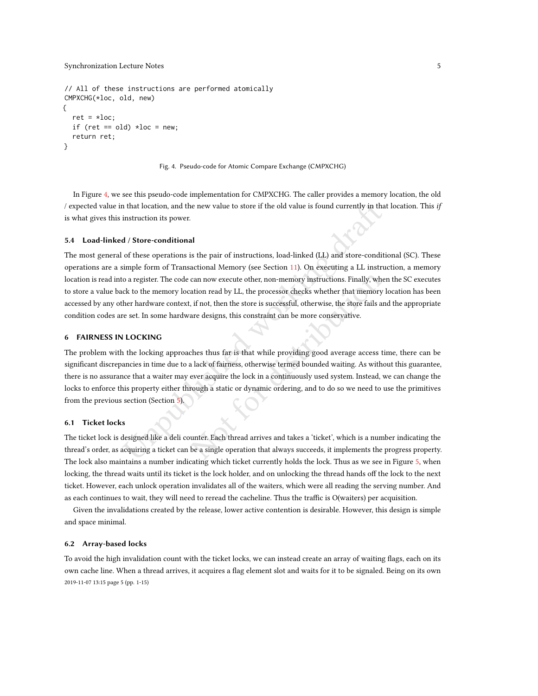```
// All of these instructions are performed atomically
CMPXCHG(*loc, old, new)
{
  ret = *loc;if (ret == old) *loc = new;return ret;
}
```
#### Fig. 4. Pseudo-code for Atomic Compare Exchange (CMPXCHG)

In Figure [4,](#page-4-0) we see this pseudo-code implementation for CMPXCHG. The caller provides a memory location, the old / expected value in that location, and the new value to store if the old value is found currently in that location. This if is what gives this instruction its power.

#### 5.4 Load-linked / Store-conditional

12 that location, and the new value to store if the old value is found currently in tha<br>
instruction its power.<br>
14 / Store-conditional<br>
16 these operations is the pair of instructions, load-linked (LL) and store-conditi<br> The most general of these operations is the pair of instructions, load-linked (LL) and store-conditional (SC). These operations are a simple form of Transactional Memory (see Section 11). On executing a LL instruction, a memory location is read into a register. The code can now execute other, non-memory instructions. Finally, when the SC executes to store a value back to the memory location read by LL, the processor checks whether that memory location has been accessed by any other hardware context, if not, then the store is successful, otherwise, the store fails and the appropriate condition codes are set. In some hardware designs, this constraint can be more conservative.

## 6 FAIRNESS IN LOCKING

can now execute other, non-memory instructions. Finally, when<br>ation read by LL, the processor checks whether that memory l<br>if not, then the store is successful, otherwise, the store fails an<br>are designs, this constraint ca The problem with the locking approaches thus far is that while providing good average access time, there can be significant discrepancies in time due to a lack of fairness, otherwise termed bounded waiting. As without this guarantee, there is no assurance that a waiter may ever acquire the lock in a continuously used system. Instead, we can change the locks to enforce this property either through a static or dynamic ordering, and to do so we need to use the primitives from the previous section (Section 5).

## 6.1 Ticket locks

The ticket lock is designed like a deli counter. Each thread arrives and takes a 'ticket', which is a number indicating the thread's order, as acquiring a ticket can be a single operation that always succeeds, it implements the progress property. The lock also maintains a number indicating which ticket currently holds the lock. Thus as we see in Figure [5,](#page-5-0) when locking, the thread waits until its ticket is the lock holder, and on unlocking the thread hands off the lock to the next ticket. However, each unlock operation invalidates all of the waiters, which were all reading the serving number. And as each continues to wait, they will need to reread the cacheline. Thus the traffic is O(waiters) per acquisition.

Given the invalidations created by the release, lower active contention is desirable. However, this design is simple and space minimal.

#### 6.2 Array-based locks

To avoid the high invalidation count with the ticket locks, we can instead create an array of waiting flags, each on its own cache line. When a thread arrives, it acquires a flag element slot and waits for it to be signaled. Being on its own 2019-11-07 13:15 page 5 (pp. 1-15)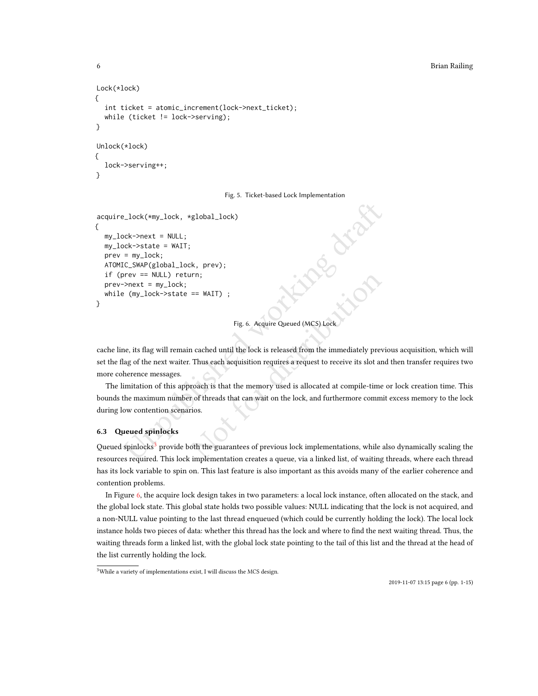### 6 Brian Railing

```
Lock(*lock)
{
  int ticket = atomic_increment(lock->next_ticket);
  while (ticket != lock->serving);
}
Unlock(*lock)
{
  lock->serving++;
}
```
#### Fig. 5. Ticket-based Lock Implementation

```
next = NULL;<br>
= my_lock;<br>
= my_lock,<br>
tc_SWAP (global_lock, prev);<br>
The working the matrix of the specifical working dramatic memorial properties<br>
equality-lock->state = WAIT);<br>
Fig. 6.
acquire_lock(*my_lock, *global_lock)
{
   my_lock->next = NULL;
   my_lock->state = WAIT;
   prev = my_lock;
   ATOMIC_SWAP(global_lock, prev);
   if (prev == NULL) return;
   prev->next = my_lock;
   while (my_lock->state == WAIT) ;
}
```

```
Fig. 6. Acquire Queued (MCS) Lock
```
Fig. 6. Acquire Queued (MCS) Lock<br>
1 cached until the lock is released from the immediately previor<br>
1 cached until the lock is released from the immediately previor<br>
1 cached until the lock is released from the immediatel cache line, its flag will remain cached until the lock is released from the immediately previous acquisition, which will set the flag of the next waiter. Thus each acquisition requires a request to receive its slot and then transfer requires two more coherence messages.

The limitation of this approach is that the memory used is allocated at compile-time or lock creation time. This bounds the maximum number of threads that can wait on the lock, and furthermore commit excess memory to the lock during low contention scenarios.

## 6.3 Queued spinlocks

Queued spinlocks<sup>3</sup> provide both the guarantees of previous lock implementations, while also dynamically scaling the resources required. This lock implementation creates a queue, via a linked list, of waiting threads, where each thread has its lock variable to spin on. This last feature is also important as this avoids many of the earlier coherence and contention problems.

In Figure [6,](#page-5-2) the acquire lock design takes in two parameters: a local lock instance, often allocated on the stack, and the global lock state. This global state holds two possible values: NULL indicating that the lock is not acquired, and a non-NULL value pointing to the last thread enqueued (which could be currently holding the lock). The local lock instance holds two pieces of data: whether this thread has the lock and where to find the next waiting thread. Thus, the waiting threads form a linked list, with the global lock state pointing to the tail of this list and the thread at the head of the list currently holding the lock.

<span id="page-5-1"></span><sup>&</sup>lt;sup>3</sup>While a variety of implementations exist, I will discuss the MCS design.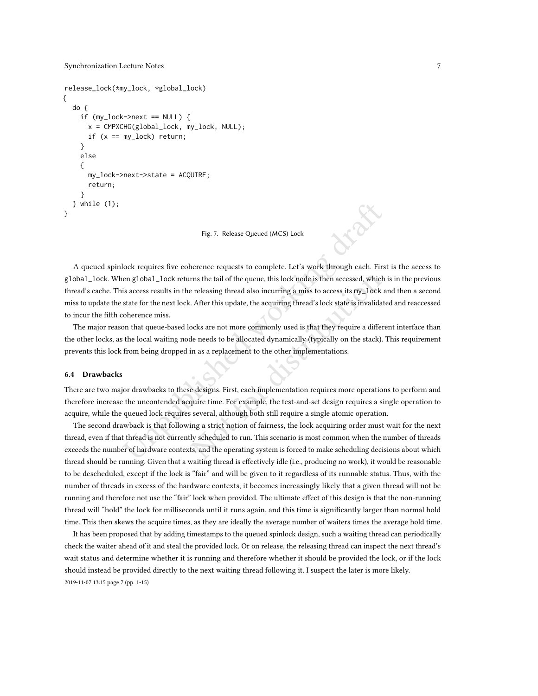```
release_lock(*my_lock, *global_lock)
{
   do {
      if (my\_lock \text{--} \text{--} \text{--} \text{--} \text{--} \text{--} \text{--}x = CMPXCHG(global_lock, my_lock, NULL);
        if (x == my\_lock) return;
      }
     else
      {
        my_lock->next->state = ACQUIRE;
        return;
      }
   } while (1);
}
```
Fig. 7. Release Queued (MCS) Lock

Fig. 7. Release Queued (MCS) Lock<br>
fock requires five coherence requests to complete. Let's work through each. First<br>
englobal\_lock returns the tail of the queue, this lock node is then accessed, which<br>
is access results i rns the tail of the queue, this lock node is then accessed, which is releasing thread also incurring a miss to access its my\_lock and After this update, the acquiring thread's lock state is invalidate ocks are not more com A queued spinlock requires five coherence requests to complete. Let's work through each. First is the access to global\_lock. When global\_lock returns the tail of the queue, this lock node is then accessed, which is in the previous thread's cache. This access results in the releasing thread also incurring a miss to access its my\_lock and then a second miss to update the state for the next lock. After this update, the acquiring thread's lock state is invalidated and reaccessed to incur the fifth coherence miss.

The major reason that queue-based locks are not more commonly used is that they require a different interface than the other locks, as the local waiting node needs to be allocated dynamically (typically on the stack). This requirement prevents this lock from being dropped in as a replacement to the other implementations.

#### 6.4 Drawbacks

There are two major drawbacks to these designs. First, each implementation requires more operations to perform and therefore increase the uncontended acquire time. For example, the test-and-set design requires a single operation to acquire, while the queued lock requires several, although both still require a single atomic operation.

The second drawback is that following a strict notion of fairness, the lock acquiring order must wait for the next thread, even if that thread is not currently scheduled to run. This scenario is most common when the number of threads exceeds the number of hardware contexts, and the operating system is forced to make scheduling decisions about which thread should be running. Given that a waiting thread is effectively idle (i.e., producing no work), it would be reasonable to be descheduled, except if the lock is "fair" and will be given to it regardless of its runnable status. Thus, with the number of threads in excess of the hardware contexts, it becomes increasingly likely that a given thread will not be running and therefore not use the "fair" lock when provided. The ultimate effect of this design is that the non-running thread will "hold" the lock for milliseconds until it runs again, and this time is significantly larger than normal hold time. This then skews the acquire times, as they are ideally the average number of waiters times the average hold time.

It has been proposed that by adding timestamps to the queued spinlock design, such a waiting thread can periodically check the waiter ahead of it and steal the provided lock. Or on release, the releasing thread can inspect the next thread's wait status and determine whether it is running and therefore whether it should be provided the lock, or if the lock should instead be provided directly to the next waiting thread following it. I suspect the later is more likely. 2019-11-07 13:15 page 7 (pp. 1-15)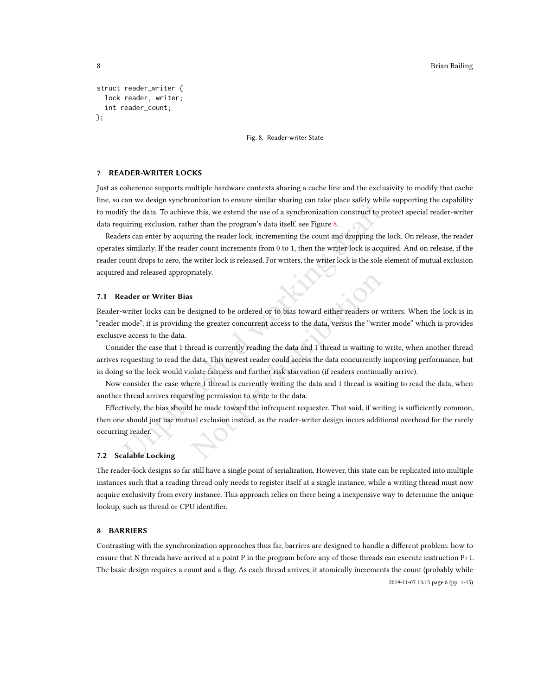```
struct reader_writer {
  lock reader, writer;
  int reader_count;
};
```
Fig. 8. Reader-writer State

# 7 READER-WRITER LOCKS

Just as coherence supports multiple hardware contexts sharing a cache line and the exclusivity to modify that cache line, so can we design synchronization to ensure similar sharing can take place safely while supporting the capability to modify the data. To achieve this, we extend the use of a synchronization construct to protect special reader-writer data requiring exclusion, rather than the program's data itself, see Figure 8.

Exam we usang symmomatation constromention and the reader summation construct to ply the data. To achieve this, we extend the use of a synchronization construct to pluring exclusion, rather than the program's data itself, Readers can enter by acquiring the reader lock, incrementing the count and dropping the lock. On release, the reader operates similarly. If the reader count increments from 0 to 1, then the writer lock is acquired. And on release, if the reader count drops to zero, the writer lock is released. For writers, the writer lock is the sole element of mutual exclusion acquired and released appropriately.

## 7.1 Reader or Writer Bias

Reader-writer locks can be designed to be ordered or to bias toward either readers or writers. When the lock is in "reader mode", it is providing the greater concurrent access to the data, versus the "writer mode" which is provides exclusive access to the data.

Consider the case that 1 thread is currently reading the data and 1 thread is waiting to write, when another thread arrives requesting to read the data. This newest reader could access the data concurrently improving performance, but in doing so the lock would violate fairness and further risk starvation (if readers continually arrive).

Now consider the case where 1 thread is currently writing the data and 1 thread is waiting to read the data, when another thread arrives requesting permission to write to the data.

Not for distribution Effectively, the bias should be made toward the infrequent requester. That said, if writing is sufficiently common, then one should just use mutual exclusion instead, as the reader-writer design incurs additional overhead for the rarely occurring reader.

## 7.2 Scalable Locking

The reader-lock designs so far still have a single point of serialization. However, this state can be replicated into multiple instances such that a reading thread only needs to register itself at a single instance, while a writing thread must now acquire exclusivity from every instance. This approach relies on there being a inexpensive way to determine the unique lookup, such as thread or CPU identifier.

# 8 BARRIERS

Contrasting with the synchronization approaches thus far, barriers are designed to handle a different problem: how to ensure that N threads have arrived at a point P in the program before any of those threads can execute instruction P+1. The basic design requires a count and a flag. As each thread arrives, it atomically increments the count (probably while 2019-11-07 13:15 page 8 (pp. 1-15)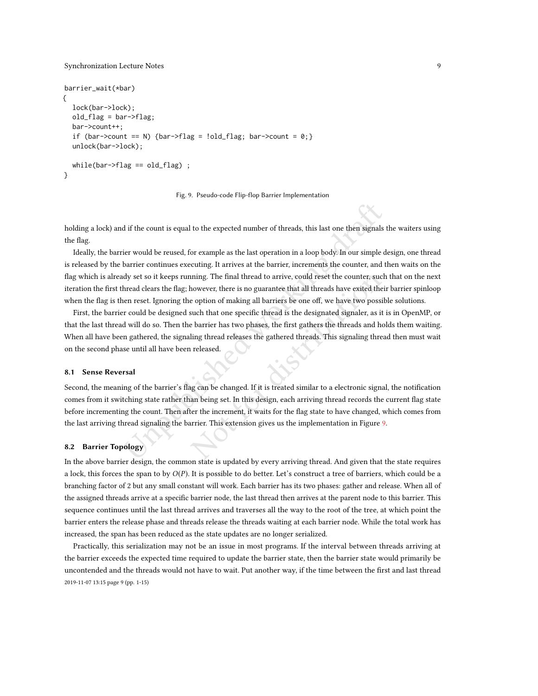```
barrier_wait(*bar)
{
  lock(bar->lock);
  old_flag = bar->flag;
  bar->count++;
  if (bar->count == N) {bar->flag = !old_flag; bar->count = 0;}
  unlock(bar->lock);
  while(bar->flag == old_flag) ;
}
```


holding a lock) and if the count is equal to the expected number of threads, this last one then signals the waiters using the flag.

d if the count is equal to the expected number of threads, this last one then signals<br>tier would be reused, for example as the last operation in a loop body. In our simple d<br>barrier continues executing. It arrives at the b Ideally, the barrier would be reused, for example as the last operation in a loop body. In our simple design, one thread is released by the barrier continues executing. It arrives at the barrier, increments the counter, and then waits on the flag which is already set so it keeps running. The final thread to arrive, could reset the counter, such that on the next iteration the first thread clears the flag; however, there is no guarantee that all threads have exited their barrier spinloop when the flag is then reset. Ignoring the option of making all barriers be one off, we have two possible solutions.

nning. The final thread to arrive, could reset the counter, such<br>nowever, there is no guarantee that all threads have exited their<br>e option of making all barriers be one off, we have two possib<br>such that one specific threa First, the barrier could be designed such that one specific thread is the designated signaler, as it is in OpenMP, or that the last thread will do so. Then the barrier has two phases, the first gathers the threads and holds them waiting. When all have been gathered, the signaling thread releases the gathered threads. This signaling thread then must wait on the second phase until all have been released.

#### 8.1 Sense Reversal

Second, the meaning of the barrier's flag can be changed. If it is treated similar to a electronic signal, the notification comes from it switching state rather than being set. In this design, each arriving thread records the current flag state before incrementing the count. Then after the increment, it waits for the flag state to have changed, which comes from the last arriving thread signaling the barrier. This extension gives us the implementation in Figure [9.](#page-8-0)

#### 8.2 Barrier Topology

In the above barrier design, the common state is updated by every arriving thread. And given that the state requires a lock, this forces the span to by  $O(P)$ . It is possible to do better. Let's construct a tree of barriers, which could be a branching factor of 2 but any small constant will work. Each barrier has its two phases: gather and release. When all of the assigned threads arrive at a specific barrier node, the last thread then arrives at the parent node to this barrier. This sequence continues until the last thread arrives and traverses all the way to the root of the tree, at which point the barrier enters the release phase and threads release the threads waiting at each barrier node. While the total work has increased, the span has been reduced as the state updates are no longer serialized.

Practically, this serialization may not be an issue in most programs. If the interval between threads arriving at the barrier exceeds the expected time required to update the barrier state, then the barrier state would primarily be uncontended and the threads would not have to wait. Put another way, if the time between the first and last thread 2019-11-07 13:15 page 9 (pp. 1-15)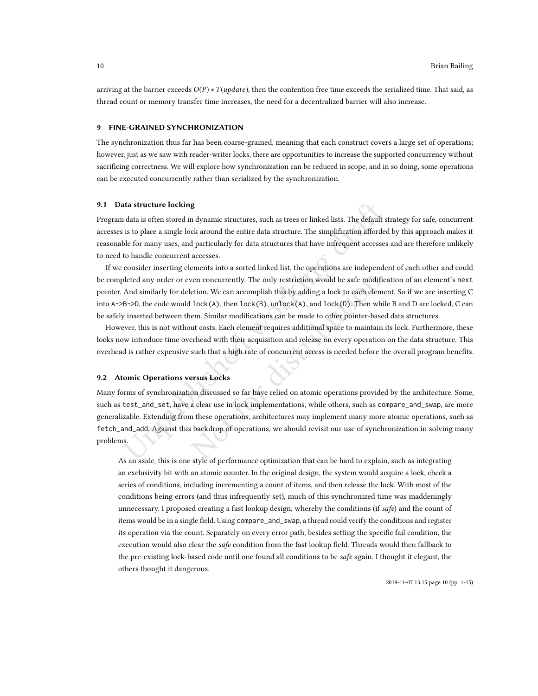arriving at the barrier exceeds  $O(P) * T(update)$ , then the contention free time exceeds the serialized time. That said, as thread count or memory transfer time increases, the need for a decentralized barrier will also increase.

#### 9 FINE-GRAINED SYNCHRONIZATION

The synchronization thus far has been coarse-grained, meaning that each construct covers a large set of operations; however, just as we saw with reader-writer locks, there are opportunities to increase the supported concurrency without sacrificing correctness. We will explore how synchronization can be reduced in scope, and in so doing, some operations can be executed concurrently rather than serialized by the synchronization.

## 9.1 Data structure locking

Program data is often stored in dynamic structures, such as trees or linked lists. The default strategy for safe, concurrent accesses is to place a single lock around the entire data structure. The simplification afforded by this approach makes it reasonable for many uses, and particularly for data structures that have infrequent accesses and are therefore unlikely to need to handle concurrent accesses.

ata structure locking<br>
alata is often stored in dynamic structures, such as trees or linked lists. The default<br>
is is to place a single lock around the entire data structure. The simplification affordes<br>
ble for many uses If we consider inserting elements into a sorted linked list, the operations are independent of each other and could be completed any order or even concurrently. The only restriction would be safe modification of an element's next pointer. And similarly for deletion. We can accomplish this by adding a lock to each element. So if we are inserting C into A->B->D, the code would lock(A), then lock(B), unlock(A), and lock(D). Then while B and D are locked, C can be safely inserted between them. Similar modifications can be made to other pointer-based data structures.

However, this is not without costs. Each element requires additional space to maintain its lock. Furthermore, these locks now introduce time overhead with their acquisition and release on every operation on the data structure. This overhead is rather expensive such that a high rate of concurrent access is needed before the overall program benefits.

## <span id="page-9-0"></span>9.2 Atomic Operations versus Locks

ven concurrently. The only restriction would be safe modification. We can accomplish this by adding a lock to each element  $lock(A)$ , then  $lock(B)$ , unlock $(A)$ , and  $lock(D)$ . Then while em. Similar modifications can be made to othe Many forms of synchronization discussed so far have relied on atomic operations provided by the architecture. Some, such as test\_and\_set, have a clear use in lock implementations, while others, such as compare\_and\_swap, are more generalizable. Extending from these operations, architectures may implement many more atomic operations, such as fetch\_and\_add. Against this backdrop of operations, we should revisit our use of synchronization in solving many problems.

As an aside, this is one style of performance optimization that can be hard to explain, such as integrating an exclusivity bit with an atomic counter. In the original design, the system would acquire a lock, check a series of conditions, including incrementing a count of items, and then release the lock. With most of the conditions being errors (and thus infrequently set), much of this synchronized time was maddeningly unnecessary. I proposed creating a fast lookup design, whereby the conditions (if  $\mathfrak{safe}$ ) and the count of items would be in a single field. Using compare\_and\_swap, a thread could verify the conditions and register its operation via the count. Separately on every error path, besides setting the specific fail condition, the execution would also clear the safe condition from the fast lookup field. Threads would then fallback to the pre-existing lock-based code until one found all conditions to be *safe* again. I thought it elegant, the others thought it dangerous.

2019-11-07 13:15 page 10 (pp. 1-15)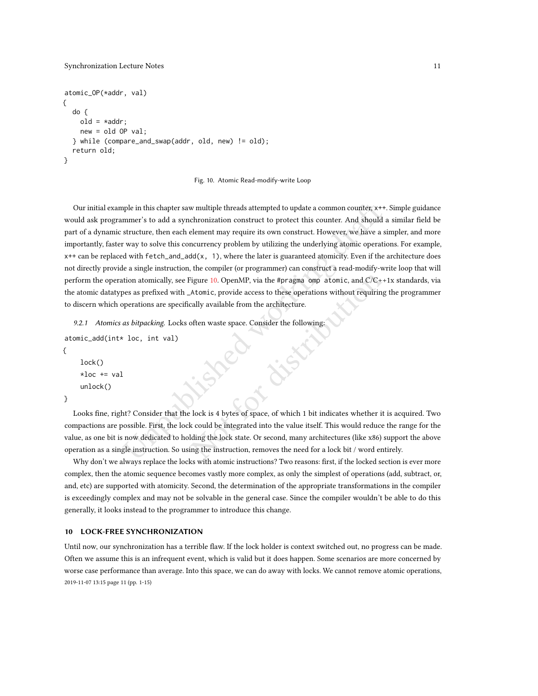```
atomic_OP(*addr, val)
{
  do {
    old = *addr;new = old OP val;
  } while (compare_and_swap(addr, old, new) != old);
  return old;
}
```
#### Fig. 10. Atomic Read-modify-write Loop

applie in this chapter saw multiple threads attempted to update a common counter,  $x$ <sup>++</sup>, mmer's to add a synchronization construct to protect this counter. And should a structure, then each element may require its own c Our initial example in this chapter saw multiple threads attempted to update a common counter, x++. Simple guidance would ask programmer's to add a synchronization construct to protect this counter. And should a similar field be part of a dynamic structure, then each element may require its own construct. However, we have a simpler, and more importantly, faster way to solve this concurrency problem by utilizing the underlying atomic operations. For example, x++ can be replaced with fetch\_and\_add(x, 1), where the later is guaranteed atomicity. Even if the architecture does not directly provide a single instruction, the compiler (or programmer) can construct a read-modify-write loop that will perform the operation atomically, see Figure [10.](#page-10-0) OpenMP, via the #pragma omp atomic, and C/C++1x standards, via the atomic datatypes as prefixed with \_Atomic, provide access to these operations without requiring the programmer to discern which operations are specifically available from the architecture.

9.2.1 Atomics as bitpacking. Locks often waste space. Consider the following:

```
atomic_add(int* loc, int val)
{
    lock()
```

```
*loc += valunlock()
```
}

Figure 10. OpenMP, via the #pragma omp atomic, and  $C/C++$ <br>Atomic, provide access to these operations without requiring<br>cally available from the architecture.<br>often waste space. Consider the following:<br> $\blacksquare$ <br>often waste sp Looks fine, right? Consider that the lock is 4 bytes of space, of which 1 bit indicates whether it is acquired. Two compactions are possible. First, the lock could be integrated into the value itself. This would reduce the range for the value, as one bit is now dedicated to holding the lock state. Or second, many architectures (like x86) support the above operation as a single instruction. So using the instruction, removes the need for a lock bit / word entirely.

Why don't we always replace the locks with atomic instructions? Two reasons: first, if the locked section is ever more complex, then the atomic sequence becomes vastly more complex, as only the simplest of operations (add, subtract, or, and, etc) are supported with atomicity. Second, the determination of the appropriate transformations in the compiler is exceedingly complex and may not be solvable in the general case. Since the compiler wouldn't be able to do this generally, it looks instead to the programmer to introduce this change.

# 10 LOCK-FREE SYNCHRONIZATION

Until now, our synchronization has a terrible flaw. If the lock holder is context switched out, no progress can be made. Often we assume this is an infrequent event, which is valid but it does happen. Some scenarios are more concerned by worse case performance than average. Into this space, we can do away with locks. We cannot remove atomic operations, 2019-11-07 13:15 page 11 (pp. 1-15)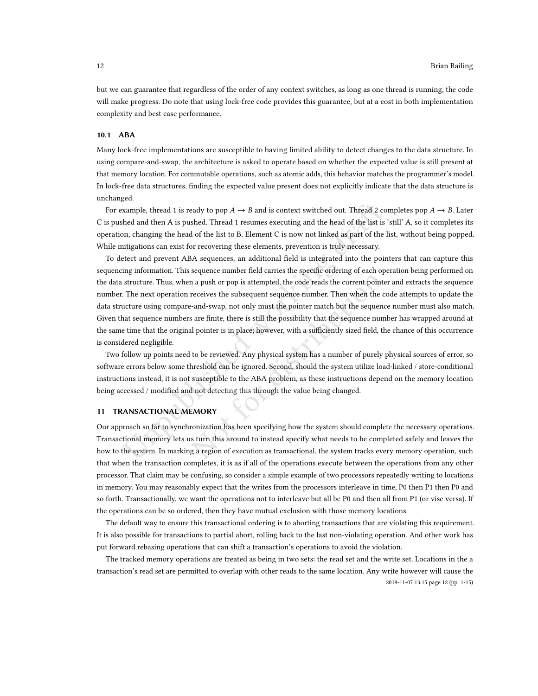but we can guarantee that regardless of the order of any context switches, as long as one thread is running, the code will make progress. Do note that using lock-free code provides this guarantee, but at a cost in both implementation complexity and best case performance.

## 10.1 ABA

Many lock-free implementations are susceptible to having limited ability to detect changes to the data structure. In using compare-and-swap, the architecture is asked to operate based on whether the expected value is still present at that memory location. For commutable operations, such as atomic adds, this behavior matches the programmer's model. In lock-free data structures, finding the expected value present does not explicitly indicate that the data structure is unchanged.

For example, thread 1 is ready to pop  $A \to B$  and is context switched out. Thread 2 completes pop  $A \to B$ . Later C is pushed and then A is pushed. Thread 1 resumes executing and the head of the list is 'still' A, so it completes its operation, changing the head of the list to B. Element C is now not linked as part of the list, without being popped. While mitigations can exist for recovering these elements, prevention is truly necessary.

xample, thread 1 is ready to pop  $A \rightarrow B$  and is context switched out. Thread 2 compare and then A is pushed. Thread 1 resumes executing and the head of the list is on, changing the head of the list to B. Element C is now n From a push or pop is attempted, the code reads the current pointer<br>a a push or pop is attempted, the code reads the current pointer<br>receives the subsequent sequence number. Then when the cc<br>-and-swap, not only must the po To detect and prevent ABA sequences, an additional field is integrated into the pointers that can capture this sequencing information. This sequence number field carries the specific ordering of each operation being performed on the data structure. Thus, when a push or pop is attempted, the code reads the current pointer and extracts the sequence number. The next operation receives the subsequent sequence number. Then when the code attempts to update the data structure using compare-and-swap, not only must the pointer match but the sequence number must also match. Given that sequence numbers are finite, there is still the possibility that the sequence number has wrapped around at the same time that the original pointer is in place; however, with a sufficiently sized field, the chance of this occurrence is considered negligible.

Two follow up points need to be reviewed. Any physical system has a number of purely physical sources of error, so software errors below some threshold can be ignored. Second, should the system utilize load-linked / store-conditional instructions instead, it is not susceptible to the ABA problem, as these instructions depend on the memory location being accessed / modified and not detecting this through the value being changed.

## <span id="page-11-0"></span>11 TRANSACTIONAL MEMORY

Our approach so far to synchronization has been specifying how the system should complete the necessary operations. Transactional memory lets us turn this around to instead specify what needs to be completed safely and leaves the how to the system. In marking a region of execution as transactional, the system tracks every memory operation, such that when the transaction completes, it is as if all of the operations execute between the operations from any other processor. That claim may be confusing, so consider a simple example of two processors repeatedly writing to locations in memory. You may reasonably expect that the writes from the processors interleave in time, P0 then P1 then P0 and so forth. Transactionally, we want the operations not to interleave but all be P0 and then all from P1 (or vise versa). If the operations can be so ordered, then they have mutual exclusion with those memory locations.

The default way to ensure this transactional ordering is to aborting transactions that are violating this requirement. It is also possible for transactions to partial abort, rolling back to the last non-violating operation. And other work has put forward rebasing operations that can shift a transaction's operations to avoid the violation.

The tracked memory operations are treated as being in two sets: the read set and the write set. Locations in the a transaction's read set are permitted to overlap with other reads to the same location. Any write however will cause the 2019-11-07 13:15 page 12 (pp. 1-15)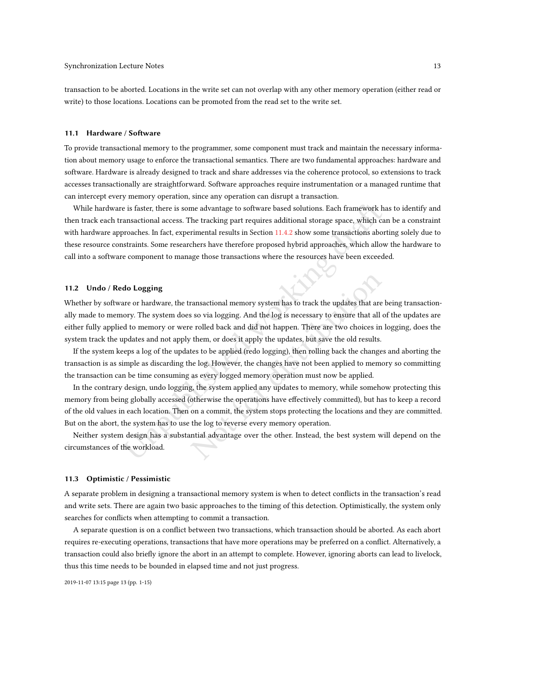transaction to be aborted. Locations in the write set can not overlap with any other memory operation (either read or write) to those locations. Locations can be promoted from the read set to the write set.

## 11.1 Hardware / Software

To provide transactional memory to the programmer, some component must track and maintain the necessary information about memory usage to enforce the transactional semantics. There are two fundamental approaches: hardware and software. Hardware is already designed to track and share addresses via the coherence protocol, so extensions to track accesses transactionally are straightforward. Software approaches require instrumentation or a managed runtime that can intercept every memory operation, since any operation can disrupt a transaction.

is is faster, there is some advantage to software based solutions. Each framework has<br>ransactional access. The tracking part requires additional storage space, which caro<br>aches. In fact, experimental results in Section 11. While hardware is faster, there is some advantage to software based solutions. Each framework has to identify and then track each transactional access. The tracking part requires additional storage space, which can be a constraint with hardware approaches. In fact, experimental results in Section [11.4.2](#page-14-0) show some transactions aborting solely due to these resource constraints. Some researchers have therefore proposed hybrid approaches, which allow the hardware to call into a software component to manage those transactions where the resources have been exceeded.

# 11.2 Undo / Redo Logging

Whether by software or hardware, the transactional memory system has to track the updates that are being transactionally made to memory. The system does so via logging. And the log is necessary to ensure that all of the updates are either fully applied to memory or were rolled back and did not happen. There are two choices in logging, does the system track the updates and not apply them, or does it apply the updates, but save the old results.

If the system keeps a log of the updates to be applied (redo logging), then rolling back the changes and aborting the transaction is as simple as discarding the log. However, the changes have not been applied to memory so committing the transaction can be time consuming as every logged memory operation must now be applied.

ransactional memory system has to track the updates that are bs so via logging. And the log is necessary to ensure that all of e rolled back and did not happen. There are two choices in lethem, or does it apply the updates In the contrary design, undo logging, the system applied any updates to memory, while somehow protecting this memory from being globally accessed (otherwise the operations have effectively committed), but has to keep a record of the old values in each location. Then on a commit, the system stops protecting the locations and they are committed. But on the abort, the system has to use the log to reverse every memory operation.

Neither system design has a substantial advantage over the other. Instead, the best system will depend on the circumstances of the workload.

# 11.3 Optimistic / Pessimistic

A separate problem in designing a transactional memory system is when to detect conflicts in the transaction's read and write sets. There are again two basic approaches to the timing of this detection. Optimistically, the system only searches for conflicts when attempting to commit a transaction.

A separate question is on a conflict between two transactions, which transaction should be aborted. As each abort requires re-executing operations, transactions that have more operations may be preferred on a conflict. Alternatively, a transaction could also briefly ignore the abort in an attempt to complete. However, ignoring aborts can lead to livelock, thus this time needs to be bounded in elapsed time and not just progress.

2019-11-07 13:15 page 13 (pp. 1-15)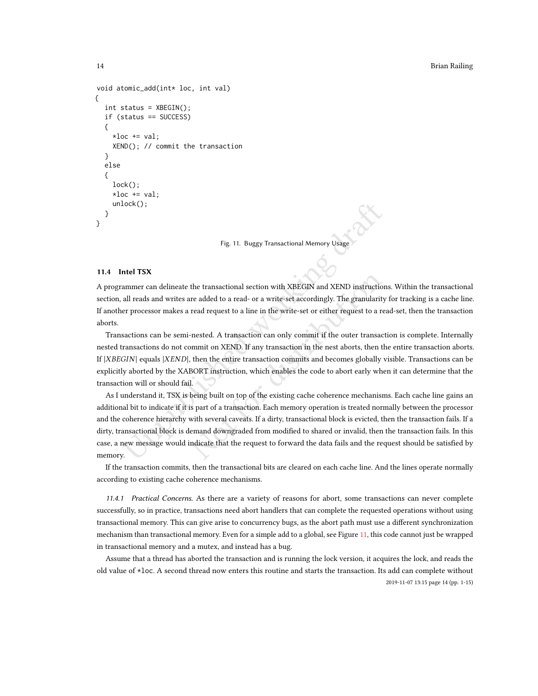```
void atomic_add(int* loc, int val)
{
  int status = XBEGIN();
  if (status == SUCCESS)
  {
    *loc += val;XEND(); // commit the transaction
  }
  else
  {
    lock();
    *loc += val;unlock();
  }
}
```
Fig. 11. Buggy Transactional Memory Usage

# 11.4 Intel TSX

A programmer can delineate the transactional section with XBEGIN and XEND instructions. Within the transactional section, all reads and writes are added to a read- or a write-set accordingly. The granularity for tracking is a cache line. If another processor makes a read request to a line in the write-set or either request to a read-set, then the transaction aborts.

Transactions can be semi-nested. A transaction can only commit if the outer transaction is complete. Internally nested transactions do not commit on XEND. If any transaction in the nest aborts, then the entire transaction aborts. If  $|XBEGIN|$  equals  $|XEND|$ , then the entire transaction commits and becomes globally visible. Transactions can be explicitly aborted by the XABORT instruction, which enables the code to abort early when it can determine that the transaction will or should fail.

lock();<br>
Fig. 11. Buggy Transactional Memory Usage<br> **Intel TSX**<br> **Intel TSX**<br> **International section with XBEGIN and XEND instruction**<br>
all reads and writes are added to a read- or a write-set accordingly. The granularity<br> the transactional section with XBEGIN and XEND instruction<br>re added to a read- or a write-set accordingly. The granularity<br>read request to a line in the write-set or either request to a rea<br>nested. A transaction can only c As I understand it, TSX is being built on top of the existing cache coherence mechanisms. Each cache line gains an additional bit to indicate if it is part of a transaction. Each memory operation is treated normally between the processor and the coherence hierarchy with several caveats. If a dirty, transactional block is evicted, then the transaction fails. If a dirty, transactional block is demand downgraded from modified to shared or invalid, then the transaction fails. In this case, a new message would indicate that the request to forward the data fails and the request should be satisfied by memory.

If the transaction commits, then the transactional bits are cleared on each cache line. And the lines operate normally according to existing cache coherence mechanisms.

11.4.1 Practical Concerns. As there are a variety of reasons for abort, some transactions can never complete successfully, so in practice, transactions need abort handlers that can complete the requested operations without using transactional memory. This can give arise to concurrency bugs, as the abort path must use a different synchronization mechanism than transactional memory. Even for a simple add to a global, see Figure [11,](#page-13-0) this code cannot just be wrapped in transactional memory and a mutex, and instead has a bug.

Assume that a thread has aborted the transaction and is running the lock version, it acquires the lock, and reads the old value of \*loc. A second thread now enters this routine and starts the transaction. Its add can complete without 2019-11-07 13:15 page 14 (pp. 1-15)